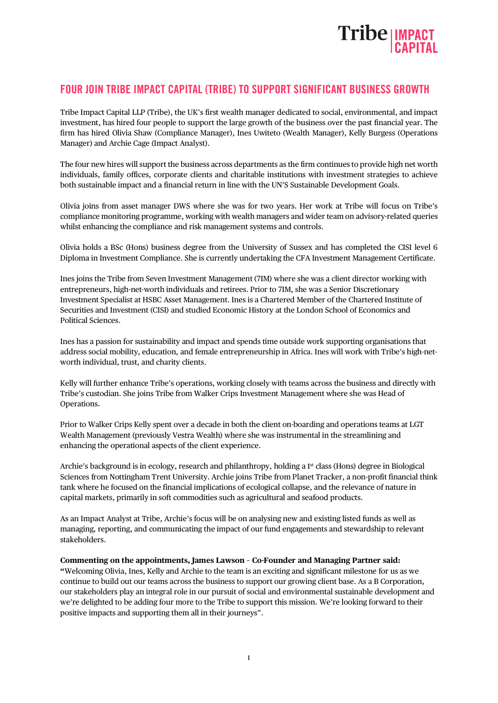

## FOUR JOIN TRIBE IMPACT CAPITAL (TRIBE) TO SUPPORT SIGNIFICANT BUSINESS GROWTH

Tribe Impact Capital LLP (Tribe), the UK's first wealth manager dedicated to social, environmental, and impact investment, has hired four people to support the large growth of the business over the past financial year. The firm has hired Olivia Shaw (Compliance Manager), Ines Uwiteto (Wealth Manager), Kelly Burgess (Operations Manager) and Archie Cage (Impact Analyst).

The four new hires will support the business across departments as the firm continues to provide high net worth individuals, family offices, corporate clients and charitable institutions with investment strategies to achieve both sustainable impact and a financial return in line with the UN'S Sustainable Development Goals.

Olivia joins from asset manager DWS where she was for two years. Her work at Tribe will focus on Tribe's compliance monitoring programme, working with wealth managers and wider team on advisory-related queries whilst enhancing the compliance and risk management systems and controls.

Olivia holds a BSc (Hons) business degree from the University of Sussex and has completed the CISI level 6 Diploma in Investment Compliance. She is currently undertaking the CFA Investment Management Certificate.

Ines joins the Tribe from Seven Investment Management (7IM) where she was a client director working with entrepreneurs, high-net-worth individuals and retirees. Prior to 7IM, she was a Senior Discretionary Investment Specialist at HSBC Asset Management. Ines is a Chartered Member of the Chartered Institute of Securities and Investment (CISI) and studied Economic History at the London School of Economics and Political Sciences.

Ines has a passion for sustainability and impact and spends time outside work supporting organisations that address social mobility, education, and female entrepreneurship in Africa. Ines will work with Tribe's high-networth individual, trust, and charity clients.

Kelly will further enhance Tribe's operations, working closely with teams across the business and directly with Tribe's custodian. She joins Tribe from Walker Crips Investment Management where she was Head of Operations.

Prior to Walker Crips Kelly spent over a decade in both the client on-boarding and operations teams at LGT Wealth Management (previously Vestra Wealth) where she was instrumental in the streamlining and enhancing the operational aspects of the client experience.

Archie's background is in ecology, research and philanthropy, holding a 1<sup>st</sup> class (Hons) degree in Biological Sciences from Nottingham Trent University. Archie joins Tribe from Planet Tracker, a non-profit financial think tank where he focused on the financial implications of ecological collapse, and the relevance of nature in capital markets, primarily in soft commodities such as agricultural and seafood products.

As an Impact Analyst at Tribe, Archie's focus will be on analysing new and existing listed funds as well as managing, reporting, and communicating the impact of our fund engagements and stewardship to relevant stakeholders.

## **Commenting on the appointments, James Lawson – Co-Founder and Managing Partner said:**

**"**Welcoming Olivia, Ines, Kelly and Archie to the team is an exciting and significant milestone for us as we continue to build out our teams across the business to support our growing client base. As a B Corporation, our stakeholders play an integral role in our pursuit of social and environmental sustainable development and we're delighted to be adding four more to the Tribe to support this mission. We're looking forward to their positive impacts and supporting them all in their journeys".